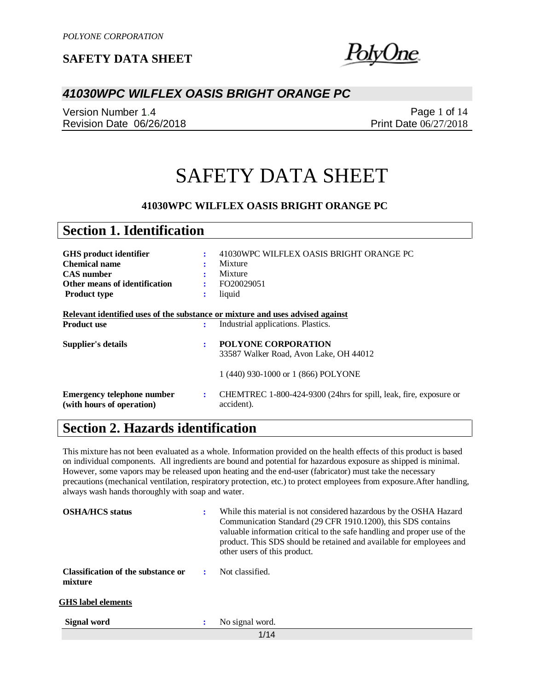!blvUne.

### *41030WPC WILFLEX OASIS BRIGHT ORANGE PC*

Version Number 1.4 Revision Date 06/26/2018

Page 1 of 14 Print Date 06/27/2018

# SAFETY DATA SHEET

#### **41030WPC WILFLEX OASIS BRIGHT ORANGE PC**

| <b>Section 1. Identification</b>                                                                                                   |                          |                                                                                                                        |
|------------------------------------------------------------------------------------------------------------------------------------|--------------------------|------------------------------------------------------------------------------------------------------------------------|
| <b>GHS</b> product identifier<br><b>Chemical name</b><br><b>CAS</b> number<br>Other means of identification<br><b>Product type</b> | ÷<br>÷<br>$\ddot{\cdot}$ | 41030WPC WILFLEX OASIS BRIGHT ORANGE PC<br>Mixture<br>Mixture<br>FO20029051<br>liquid                                  |
| Relevant identified uses of the substance or mixture and uses advised against<br><b>Product use</b>                                | ÷                        | Industrial applications. Plastics.                                                                                     |
| Supplier's details                                                                                                                 | ÷                        | <b>POLYONE CORPORATION</b><br>33587 Walker Road, Avon Lake, OH 44012                                                   |
| <b>Emergency telephone number</b><br>(with hours of operation)                                                                     | ÷                        | 1 (440) 930-1000 or 1 (866) POLYONE<br>CHEMTREC 1-800-424-9300 (24hrs for spill, leak, fire, exposure or<br>accident). |

# **Section 2. Hazards identification**

This mixture has not been evaluated as a whole. Information provided on the health effects of this product is based on individual components. All ingredients are bound and potential for hazardous exposure as shipped is minimal. However, some vapors may be released upon heating and the end-user (fabricator) must take the necessary precautions (mechanical ventilation, respiratory protection, etc.) to protect employees from exposure.After handling, always wash hands thoroughly with soap and water.

| <b>OSHA/HCS</b> status                        | ÷ | While this material is not considered hazardous by the OSHA Hazard<br>Communication Standard (29 CFR 1910.1200), this SDS contains<br>valuable information critical to the safe handling and proper use of the<br>product. This SDS should be retained and available for employees and<br>other users of this product. |
|-----------------------------------------------|---|------------------------------------------------------------------------------------------------------------------------------------------------------------------------------------------------------------------------------------------------------------------------------------------------------------------------|
| Classification of the substance or<br>mixture | ÷ | Not classified.                                                                                                                                                                                                                                                                                                        |
| <b>GHS</b> label elements                     |   |                                                                                                                                                                                                                                                                                                                        |
| <b>Signal word</b>                            | : | No signal word.                                                                                                                                                                                                                                                                                                        |
|                                               |   | 1/14                                                                                                                                                                                                                                                                                                                   |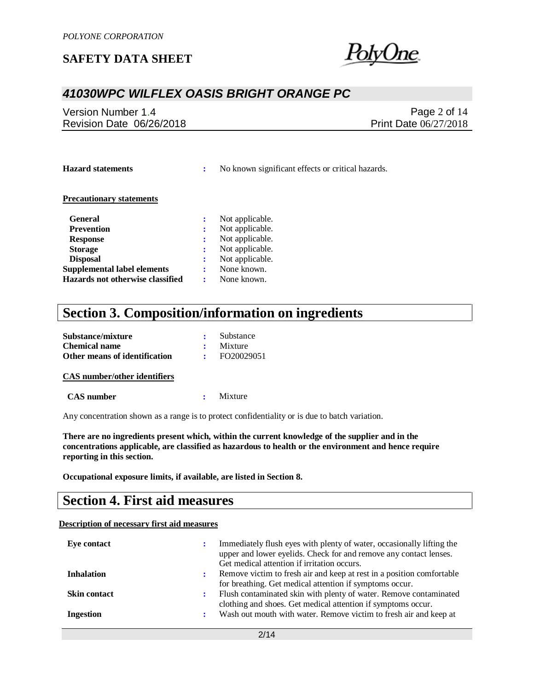<u>hne </u>

### *41030WPC WILFLEX OASIS BRIGHT ORANGE PC*

Version Number 1.4 Revision Date 06/26/2018

Page 2 of 14 Print Date 06/27/2018

**Hazard statements :** No known significant effects or critical hazards.

#### **Precautionary statements**

| <b>General</b>                     | Not applicable. |
|------------------------------------|-----------------|
| <b>Prevention</b>                  | Not applicable. |
| <b>Response</b>                    | Not applicable. |
| <b>Storage</b>                     | Not applicable. |
| <b>Disposal</b>                    | Not applicable. |
| <b>Supplemental label elements</b> | None known.     |
| Hazards not otherwise classified   | None known.     |

# **Section 3. Composition/information on ingredients**

| Substance/mixture             | Substance  |
|-------------------------------|------------|
| <b>Chemical name</b>          | Mixture    |
| Other means of identification | FO20029051 |

#### **CAS number/other identifiers**

 **CAS number :** Mixture

Any concentration shown as a range is to protect confidentiality or is due to batch variation.

**There are no ingredients present which, within the current knowledge of the supplier and in the concentrations applicable, are classified as hazardous to health or the environment and hence require reporting in this section.**

**Occupational exposure limits, if available, are listed in Section 8.**

## **Section 4. First aid measures**

#### **Description of necessary first aid measures**

| Eye contact         |   | Immediately flush eyes with plenty of water, occasionally lifting the<br>upper and lower eyelids. Check for and remove any contact lenses.<br>Get medical attention if irritation occurs. |
|---------------------|---|-------------------------------------------------------------------------------------------------------------------------------------------------------------------------------------------|
| <b>Inhalation</b>   | : | Remove victim to fresh air and keep at rest in a position comfortable<br>for breathing. Get medical attention if symptoms occur.                                                          |
| <b>Skin contact</b> | ÷ | Flush contaminated skin with plenty of water. Remove contaminated<br>clothing and shoes. Get medical attention if symptoms occur.                                                         |
| Ingestion           |   | Wash out mouth with water. Remove victim to fresh air and keep at                                                                                                                         |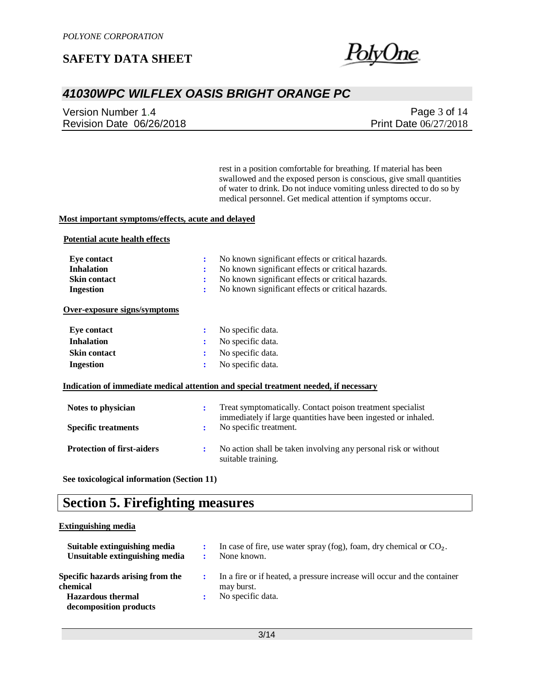

# *41030WPC WILFLEX OASIS BRIGHT ORANGE PC*

Version Number 1.4 Revision Date 06/26/2018

Page 3 of 14 Print Date 06/27/2018

rest in a position comfortable for breathing. If material has been swallowed and the exposed person is conscious, give small quantities of water to drink. Do not induce vomiting unless directed to do so by medical personnel. Get medical attention if symptoms occur.

#### **Most important symptoms/effects, acute and delayed**

#### **Potential acute health effects**

| Eye contact                       | No known significant effects or critical hazards.<br>÷                                                                            |
|-----------------------------------|-----------------------------------------------------------------------------------------------------------------------------------|
| <b>Inhalation</b>                 | No known significant effects or critical hazards.                                                                                 |
| <b>Skin contact</b>               | No known significant effects or critical hazards.<br>:                                                                            |
| <b>Ingestion</b>                  | No known significant effects or critical hazards.<br>÷                                                                            |
| Over-exposure signs/symptoms      |                                                                                                                                   |
| <b>Eye contact</b>                | No specific data.<br>$\ddot{\cdot}$                                                                                               |
| <b>Inhalation</b>                 | No specific data.<br>$\ddot{\cdot}$                                                                                               |
| <b>Skin contact</b>               | No specific data.<br>÷                                                                                                            |
| <b>Ingestion</b>                  | No specific data.<br>÷                                                                                                            |
|                                   | Indication of immediate medical attention and special treatment needed, if necessary                                              |
| Notes to physician                | Treat symptomatically. Contact poison treatment specialist<br>÷<br>immediately if large quantities have been ingested or inhaled. |
| <b>Specific treatments</b>        | No specific treatment.<br>÷                                                                                                       |
| <b>Protection of first-aiders</b> | No action shall be taken involving any personal risk or without<br>÷<br>suitable training.                                        |

**See toxicological information (Section 11)**

## **Section 5. Firefighting measures**

#### **Extinguishing media**

| Suitable extinguishing media<br>Unsuitable extinguishing media                                      |   | In case of fire, use water spray (fog), foam, dry chemical or $CO2$ .<br>None known.                        |
|-----------------------------------------------------------------------------------------------------|---|-------------------------------------------------------------------------------------------------------------|
| Specific hazards arising from the<br>chemical<br><b>Hazardous</b> thermal<br>decomposition products | ÷ | In a fire or if heated, a pressure increase will occur and the container<br>may burst.<br>No specific data. |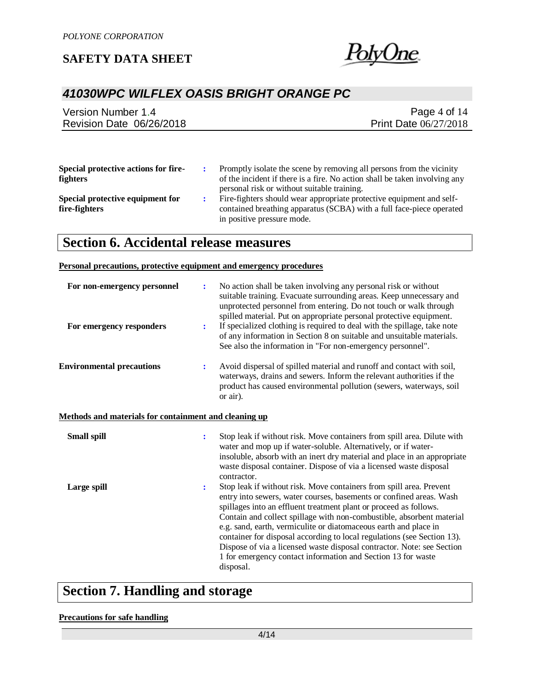

# *41030WPC WILFLEX OASIS BRIGHT ORANGE PC*

| Page 4 of $14$               |
|------------------------------|
| <b>Print Date 06/27/2018</b> |
|                              |
|                              |

| Special protective actions for fire- | Promptly isolate the scene by removing all persons from the vicinity       |
|--------------------------------------|----------------------------------------------------------------------------|
| <b>fighters</b>                      | of the incident if there is a fire. No action shall be taken involving any |
|                                      | personal risk or without suitable training.                                |
| Special protective equipment for     | Fire-fighters should wear appropriate protective equipment and self-       |
| fire-fighters                        | contained breathing apparatus (SCBA) with a full face-piece operated       |

in positive pressure mode.

# **Section 6. Accidental release measures**

#### **Personal precautions, protective equipment and emergency procedures**

| For non-emergency personnel                           | ÷                    | No action shall be taken involving any personal risk or without<br>suitable training. Evacuate surrounding areas. Keep unnecessary and<br>unprotected personnel from entering. Do not touch or walk through<br>spilled material. Put on appropriate personal protective equipment.                                                                                                                                                                                                                                                                                                             |
|-------------------------------------------------------|----------------------|------------------------------------------------------------------------------------------------------------------------------------------------------------------------------------------------------------------------------------------------------------------------------------------------------------------------------------------------------------------------------------------------------------------------------------------------------------------------------------------------------------------------------------------------------------------------------------------------|
| For emergency responders                              | ÷                    | If specialized clothing is required to deal with the spillage, take note<br>of any information in Section 8 on suitable and unsuitable materials.<br>See also the information in "For non-emergency personnel".                                                                                                                                                                                                                                                                                                                                                                                |
| <b>Environmental precautions</b>                      | ÷                    | Avoid dispersal of spilled material and runoff and contact with soil,<br>waterways, drains and sewers. Inform the relevant authorities if the<br>product has caused environmental pollution (sewers, waterways, soil<br>or air).                                                                                                                                                                                                                                                                                                                                                               |
| Methods and materials for containment and cleaning up |                      |                                                                                                                                                                                                                                                                                                                                                                                                                                                                                                                                                                                                |
| <b>Small spill</b>                                    | $\ddot{\phantom{a}}$ | Stop leak if without risk. Move containers from spill area. Dilute with<br>water and mop up if water-soluble. Alternatively, or if water-<br>insoluble, absorb with an inert dry material and place in an appropriate<br>waste disposal container. Dispose of via a licensed waste disposal<br>contractor.                                                                                                                                                                                                                                                                                     |
| Large spill                                           | $\ddot{\cdot}$       | Stop leak if without risk. Move containers from spill area. Prevent<br>entry into sewers, water courses, basements or confined areas. Wash<br>spillages into an effluent treatment plant or proceed as follows.<br>Contain and collect spillage with non-combustible, absorbent material<br>e.g. sand, earth, vermiculite or diatomaceous earth and place in<br>container for disposal according to local regulations (see Section 13).<br>Dispose of via a licensed waste disposal contractor. Note: see Section<br>1 for emergency contact information and Section 13 for waste<br>disposal. |

# **Section 7. Handling and storage**

#### **Precautions for safe handling**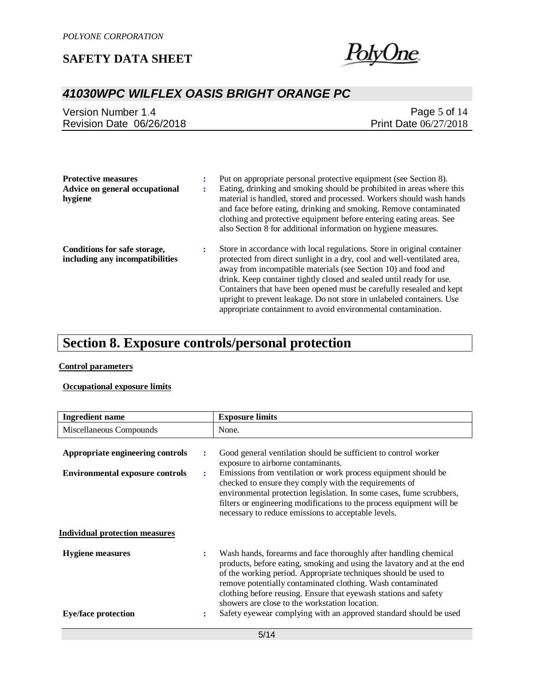

# *41030WPC WILFLEX OASIS BRIGHT ORANGE PC*

| Version Number 1.4       | Page 5 of 14                 |
|--------------------------|------------------------------|
| Revision Date 06/26/2018 | <b>Print Date 06/27/2018</b> |

| <b>Protective measures</b><br>Advice on general occupational<br>hygiene | Put on appropriate personal protective equipment (see Section 8).<br>Eating, drinking and smoking should be prohibited in areas where this<br>material is handled, stored and processed. Workers should wash hands                                                                                                                                                                                                                                                                                             |
|-------------------------------------------------------------------------|----------------------------------------------------------------------------------------------------------------------------------------------------------------------------------------------------------------------------------------------------------------------------------------------------------------------------------------------------------------------------------------------------------------------------------------------------------------------------------------------------------------|
|                                                                         | and face before eating, drinking and smoking. Remove contaminated<br>clothing and protective equipment before entering eating areas. See<br>also Section 8 for additional information on hygiene measures.                                                                                                                                                                                                                                                                                                     |
| Conditions for safe storage,<br>including any incompatibilities         | Store in accordance with local regulations. Store in original container<br>protected from direct sunlight in a dry, cool and well-ventilated area,<br>away from incompatible materials (see Section 10) and food and<br>drink. Keep container tightly closed and sealed until ready for use.<br>Containers that have been opened must be carefully resealed and kept<br>upright to prevent leakage. Do not store in unlabeled containers. Use<br>appropriate containment to avoid environmental contamination. |

# **Section 8. Exposure controls/personal protection**

#### **Control parameters**

#### **Occupational exposure limits**

| <b>Ingredient name</b>                                                     |        | <b>Exposure limits</b>                                                                                                                                                                                                                                                                                                                                                                                                                                                  |
|----------------------------------------------------------------------------|--------|-------------------------------------------------------------------------------------------------------------------------------------------------------------------------------------------------------------------------------------------------------------------------------------------------------------------------------------------------------------------------------------------------------------------------------------------------------------------------|
| Miscellaneous Compounds                                                    |        | None.                                                                                                                                                                                                                                                                                                                                                                                                                                                                   |
| Appropriate engineering controls<br><b>Environmental exposure controls</b> | ÷<br>÷ | Good general ventilation should be sufficient to control worker<br>exposure to airborne contaminants.<br>Emissions from ventilation or work process equipment should be<br>checked to ensure they comply with the requirements of<br>environmental protection legislation. In some cases, fume scrubbers,<br>filters or engineering modifications to the process equipment will be<br>necessary to reduce emissions to acceptable levels.                               |
| <b>Individual protection measures</b>                                      |        |                                                                                                                                                                                                                                                                                                                                                                                                                                                                         |
| <b>Hygiene</b> measures<br><b>Eye/face protection</b>                      | ÷<br>÷ | Wash hands, forearms and face thoroughly after handling chemical<br>products, before eating, smoking and using the lavatory and at the end<br>of the working period. Appropriate techniques should be used to<br>remove potentially contaminated clothing. Wash contaminated<br>clothing before reusing. Ensure that eyewash stations and safety<br>showers are close to the workstation location.<br>Safety eyewear complying with an approved standard should be used |
|                                                                            |        |                                                                                                                                                                                                                                                                                                                                                                                                                                                                         |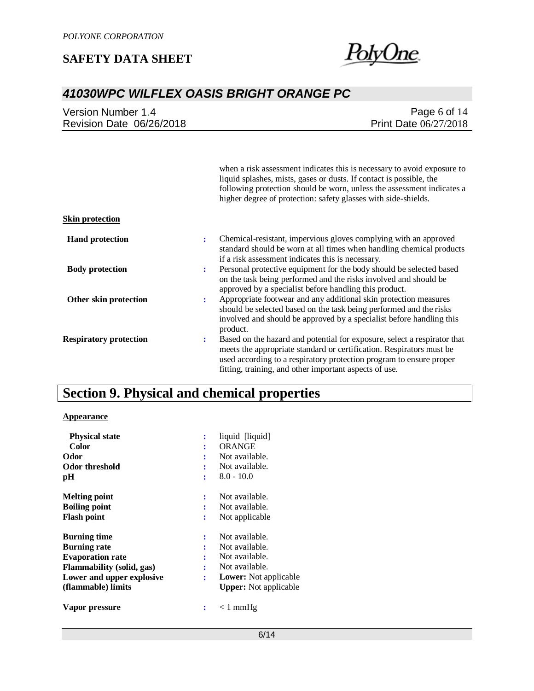

# *41030WPC WILFLEX OASIS BRIGHT ORANGE PC*

| Version Number 1.4       | Page 6 of $14$               |
|--------------------------|------------------------------|
| Revision Date 06/26/2018 | <b>Print Date 06/27/2018</b> |

|                               |   | when a risk assessment indicates this is necessary to avoid exposure to<br>liquid splashes, mists, gases or dusts. If contact is possible, the<br>following protection should be worn, unless the assessment indicates a<br>higher degree of protection: safety glasses with side-shields. |
|-------------------------------|---|--------------------------------------------------------------------------------------------------------------------------------------------------------------------------------------------------------------------------------------------------------------------------------------------|
| <b>Skin protection</b>        |   |                                                                                                                                                                                                                                                                                            |
| <b>Hand protection</b>        | ÷ | Chemical-resistant, impervious gloves complying with an approved<br>standard should be worn at all times when handling chemical products<br>if a risk assessment indicates this is necessary.                                                                                              |
| <b>Body protection</b>        | ÷ | Personal protective equipment for the body should be selected based<br>on the task being performed and the risks involved and should be<br>approved by a specialist before handling this product.                                                                                          |
| Other skin protection         | ÷ | Appropriate footwear and any additional skin protection measures<br>should be selected based on the task being performed and the risks<br>involved and should be approved by a specialist before handling this<br>product.                                                                 |
| <b>Respiratory protection</b> | ÷ | Based on the hazard and potential for exposure, select a respirator that<br>meets the appropriate standard or certification. Respirators must be<br>used according to a respiratory protection program to ensure proper<br>fitting, training, and other important aspects of use.          |

# **Section 9. Physical and chemical properties**

#### **Appearance**

| <b>Physical state</b>            | ፡              | liquid [liquid]              |
|----------------------------------|----------------|------------------------------|
| <b>Color</b>                     | $\ddot{\cdot}$ | ORANGE                       |
| Odor                             | ٠              | Not available.               |
| Odor threshold                   |                | Not available.               |
| pН                               | ٠              | $8.0 - 10.0$                 |
| <b>Melting point</b>             | ÷              | Not available.               |
| <b>Boiling point</b>             |                | Not available.               |
| <b>Flash point</b>               | ÷              | Not applicable               |
| <b>Burning time</b>              | ÷              | Not available.               |
| <b>Burning rate</b>              | ÷              | Not available.               |
| <b>Evaporation rate</b>          | ÷              | Not available.               |
| <b>Flammability</b> (solid, gas) | ٠              | Not available.               |
| Lower and upper explosive        | ÷              | <b>Lower:</b> Not applicable |
| (flammable) limits               |                | <b>Upper:</b> Not applicable |
| Vapor pressure                   |                | $< 1$ mmHg                   |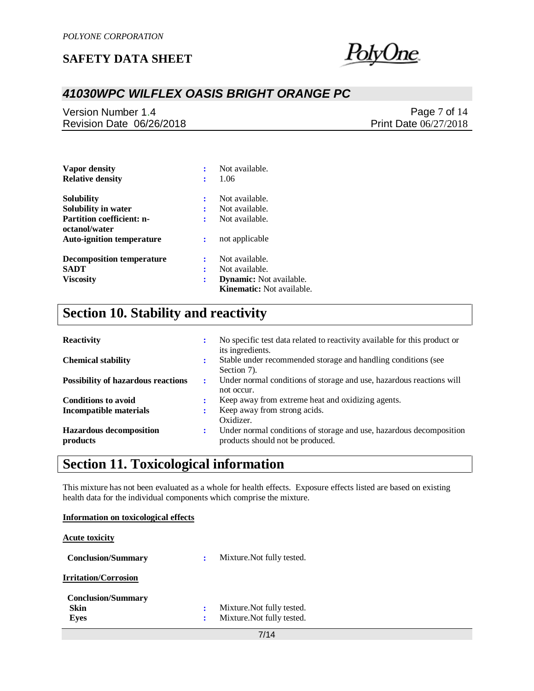

# *41030WPC WILFLEX OASIS BRIGHT ORANGE PC*

Version Number 1.4 Revision Date 06/26/2018

Page 7 of 14 Print Date 06/27/2018

| Vapor density                                     | İ              | Not available.                                                     |
|---------------------------------------------------|----------------|--------------------------------------------------------------------|
| <b>Relative density</b>                           | :              | 1.06                                                               |
| <b>Solubility</b>                                 | $\ddot{\cdot}$ | Not available.                                                     |
| Solubility in water                               | ÷              | Not available.                                                     |
| <b>Partition coefficient: n-</b><br>octanol/water | ÷              | Not available.                                                     |
| <b>Auto-ignition temperature</b>                  | :              | not applicable                                                     |
| <b>Decomposition temperature</b>                  | $\ddot{\cdot}$ | Not available.                                                     |
| SADT                                              | ÷              | Not available.                                                     |
| <b>Viscosity</b>                                  | ÷              | <b>Dynamic:</b> Not available.<br><b>Kinematic:</b> Not available. |

# **Section 10. Stability and reactivity**

| <b>Reactivity</b>                          | ٠ | No specific test data related to reactivity available for this product or<br>its ingredients.           |
|--------------------------------------------|---|---------------------------------------------------------------------------------------------------------|
| <b>Chemical stability</b>                  | ٠ | Stable under recommended storage and handling conditions (see<br>Section 7).                            |
| <b>Possibility of hazardous reactions</b>  | ÷ | Under normal conditions of storage and use, hazardous reactions will<br>not occur.                      |
| <b>Conditions to avoid</b>                 |   | Keep away from extreme heat and oxidizing agents.                                                       |
| <b>Incompatible materials</b>              |   | Keep away from strong acids.<br>Oxidizer.                                                               |
| <b>Hazardous decomposition</b><br>products | ٠ | Under normal conditions of storage and use, hazardous decomposition<br>products should not be produced. |

# **Section 11. Toxicological information**

This mixture has not been evaluated as a whole for health effects. Exposure effects listed are based on existing health data for the individual components which comprise the mixture.

| nearly call for the member components which comprise the immedia |                |                            |
|------------------------------------------------------------------|----------------|----------------------------|
| Information on toxicological effects                             |                |                            |
| <b>Acute toxicity</b>                                            |                |                            |
| <b>Conclusion/Summary</b>                                        | ÷              | Mixture. Not fully tested. |
| <b>Irritation/Corrosion</b>                                      |                |                            |
| <b>Conclusion/Summary</b>                                        |                |                            |
| Skin                                                             | $\ddot{\cdot}$ | Mixture. Not fully tested. |
| Eyes                                                             | ٠              | Mixture. Not fully tested. |
|                                                                  |                | 7/14                       |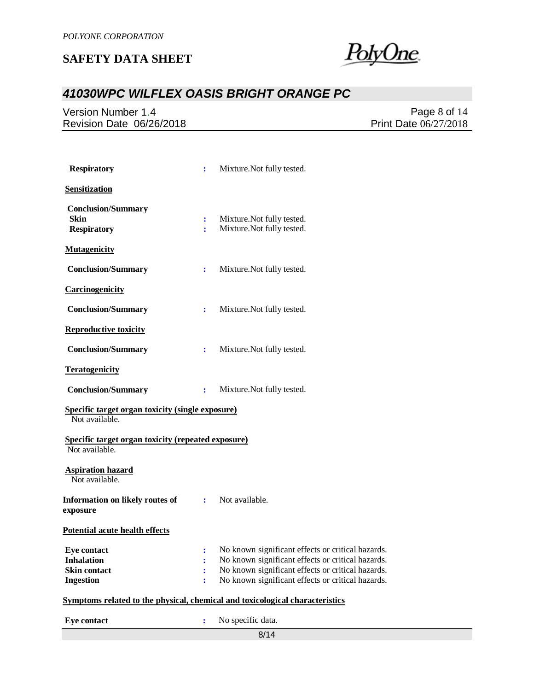<u>PolyOne</u>

# *41030WPC WILFLEX OASIS BRIGHT ORANGE PC*

Version Number 1.4 Revision Date 06/26/2018

Page 8 of 14 Print Date 06/27/2018

| <b>Respiratory</b>                                                                 | ÷                   | Mixture. Not fully tested.                                                                                                                                                                                       |  |  |
|------------------------------------------------------------------------------------|---------------------|------------------------------------------------------------------------------------------------------------------------------------------------------------------------------------------------------------------|--|--|
| Sensitization                                                                      |                     |                                                                                                                                                                                                                  |  |  |
| <b>Conclusion/Summary</b><br><b>Skin</b><br><b>Respiratory</b>                     | ÷<br>÷              | Mixture. Not fully tested.<br>Mixture. Not fully tested.                                                                                                                                                         |  |  |
| <b>Mutagenicity</b>                                                                |                     |                                                                                                                                                                                                                  |  |  |
| <b>Conclusion/Summary</b>                                                          | $\ddot{\cdot}$      | Mixture. Not fully tested.                                                                                                                                                                                       |  |  |
| Carcinogenicity                                                                    |                     |                                                                                                                                                                                                                  |  |  |
| <b>Conclusion/Summary</b>                                                          | ÷                   | Mixture. Not fully tested.                                                                                                                                                                                       |  |  |
| <b>Reproductive toxicity</b>                                                       |                     |                                                                                                                                                                                                                  |  |  |
| <b>Conclusion/Summary</b>                                                          | ÷                   | Mixture. Not fully tested.                                                                                                                                                                                       |  |  |
| <b>Teratogenicity</b>                                                              |                     |                                                                                                                                                                                                                  |  |  |
| <b>Conclusion/Summary</b>                                                          | $\ddot{\cdot}$      | Mixture. Not fully tested.                                                                                                                                                                                       |  |  |
| Specific target organ toxicity (single exposure)<br>Not available.                 |                     |                                                                                                                                                                                                                  |  |  |
| <b>Specific target organ toxicity (repeated exposure)</b><br>Not available.        |                     |                                                                                                                                                                                                                  |  |  |
| <b>Aspiration hazard</b><br>Not available.                                         |                     |                                                                                                                                                                                                                  |  |  |
| Information on likely routes of<br>exposure                                        |                     | : Not available.                                                                                                                                                                                                 |  |  |
| <b>Potential acute health effects</b>                                              |                     |                                                                                                                                                                                                                  |  |  |
| <b>Eye contact</b><br><b>Inhalation</b><br><b>Skin contact</b><br><b>Ingestion</b> | $\ddot{\cdot}$<br>÷ | No known significant effects or critical hazards.<br>No known significant effects or critical hazards.<br>No known significant effects or critical hazards.<br>No known significant effects or critical hazards. |  |  |
|                                                                                    |                     | Symptoms related to the physical, chemical and toxicological characteristics                                                                                                                                     |  |  |
| <b>Eye contact</b>                                                                 | $\ddot{\cdot}$      | No specific data.                                                                                                                                                                                                |  |  |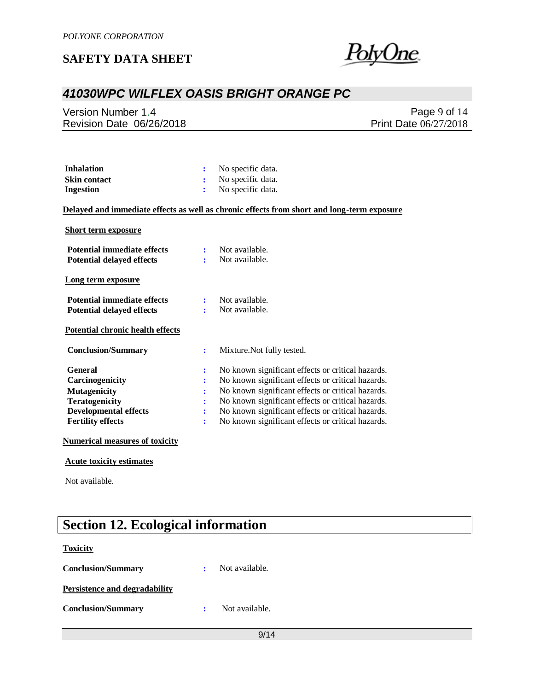

## *41030WPC WILFLEX OASIS BRIGHT ORANGE PC*

Version Number 1.4 Revision Date 06/26/2018

Page 9 of 14 Print Date 06/27/2018

| <b>Inhalation</b>   | : No specific data. |
|---------------------|---------------------|
| <b>Skin contact</b> | : No specific data. |
| Ingestion           | : No specific data. |

#### **Delayed and immediate effects as well as chronic effects from short and long-term exposure**

#### **Short term exposure**

| <b>Potential immediate effects</b><br><b>Potential delayed effects</b> | ÷              | Not available.<br>Not available.                  |
|------------------------------------------------------------------------|----------------|---------------------------------------------------|
| Long term exposure                                                     |                |                                                   |
| <b>Potential immediate effects</b><br><b>Potential delayed effects</b> | ÷<br>÷         | Not available.<br>Not available.                  |
| <b>Potential chronic health effects</b>                                |                |                                                   |
| <b>Conclusion/Summary</b>                                              | ÷              | Mixture. Not fully tested.                        |
| General                                                                | ÷              | No known significant effects or critical hazards. |
| Carcinogenicity                                                        | $\ddot{\cdot}$ | No known significant effects or critical hazards. |
| <b>Mutagenicity</b>                                                    | $\ddot{\cdot}$ | No known significant effects or critical hazards. |
| <b>Teratogenicity</b>                                                  | ፡              | No known significant effects or critical hazards. |
| <b>Developmental effects</b>                                           | $\ddot{\cdot}$ | No known significant effects or critical hazards. |
| <b>Fertility effects</b>                                               | $\ddot{\cdot}$ | No known significant effects or critical hazards. |
| <b>Numerical measures of toxicity</b>                                  |                |                                                   |

#### **Acute toxicity estimates**

Not available.

# **Section 12. Ecological information**

#### **Toxicity**

| <b>Conclusion/Summary</b>            | Not available. |
|--------------------------------------|----------------|
| <b>Persistence and degradability</b> |                |
| <b>Conclusion/Summary</b>            | Not available. |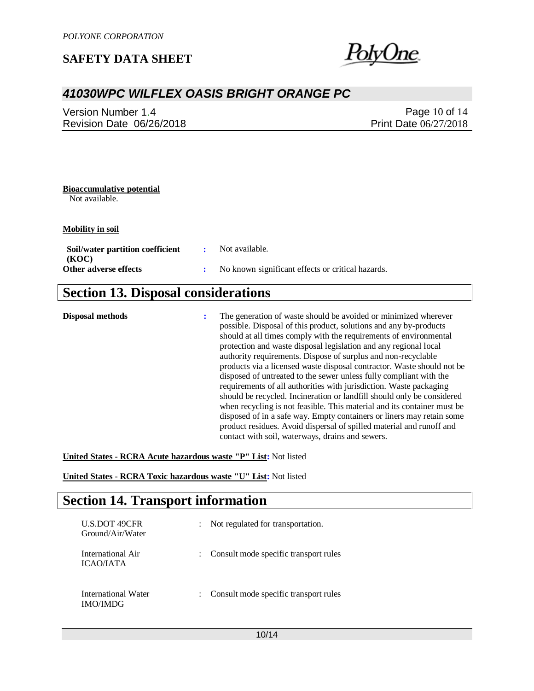'olyUne

### *41030WPC WILFLEX OASIS BRIGHT ORANGE PC*

| Version Number 1.4       | Page 10 of $14$              |
|--------------------------|------------------------------|
| Revision Date 06/26/2018 | <b>Print Date 06/27/2018</b> |

### **Bioaccumulative potential**

Not available.

**Mobility in soil**

| Soil/water partition coefficient | Not available.                                    |
|----------------------------------|---------------------------------------------------|
| (KOC)<br>Other adverse effects   | No known significant effects or critical hazards. |
|                                  |                                                   |

# **Section 13. Disposal considerations**

**Disposal methods :** The generation of waste should be avoided or minimized wherever possible. Disposal of this product, solutions and any by-products should at all times comply with the requirements of environmental protection and waste disposal legislation and any regional local authority requirements. Dispose of surplus and non-recyclable products via a licensed waste disposal contractor. Waste should not be disposed of untreated to the sewer unless fully compliant with the requirements of all authorities with jurisdiction. Waste packaging should be recycled. Incineration or landfill should only be considered when recycling is not feasible. This material and its container must be disposed of in a safe way. Empty containers or liners may retain some product residues. Avoid dispersal of spilled material and runoff and contact with soil, waterways, drains and sewers.

**United States - RCRA Acute hazardous waste "P" List:** Not listed

**United States - RCRA Toxic hazardous waste "U" List:** Not listed

# **Section 14. Transport information**

| <b>U.S.DOT 49CFR</b><br>Ground/Air/Water | : Not regulated for transportation.     |
|------------------------------------------|-----------------------------------------|
| International Air<br>ICAO/IATA           | : Consult mode specific transport rules |
| International Water<br><b>IMO/IMDG</b>   | Consult mode specific transport rules   |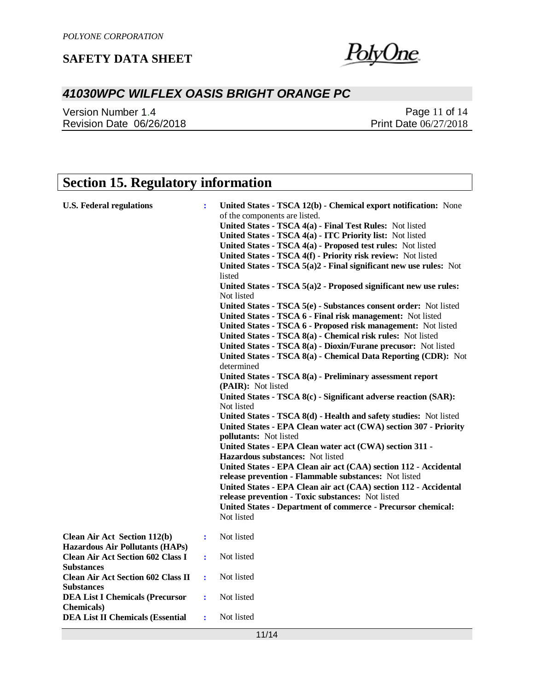<u>PolyOne</u>

# *41030WPC WILFLEX OASIS BRIGHT ORANGE PC*

Version Number 1.4 Revision Date 06/26/2018

Page 11 of 14 Print Date 06/27/2018

# **Section 15. Regulatory information**

| <b>U.S. Federal regulations</b>                                               | ÷                    | United States - TSCA 12(b) - Chemical export notification: None<br>of the components are listed.<br>United States - TSCA 4(a) - Final Test Rules: Not listed<br>United States - TSCA 4(a) - ITC Priority list: Not listed<br>United States - TSCA 4(a) - Proposed test rules: Not listed<br>United States - TSCA 4(f) - Priority risk review: Not listed<br>United States - TSCA 5(a)2 - Final significant new use rules: Not<br>listed<br>United States - TSCA 5(a)2 - Proposed significant new use rules:<br>Not listed<br>United States - TSCA 5(e) - Substances consent order: Not listed<br>United States - TSCA 6 - Final risk management: Not listed<br>United States - TSCA 6 - Proposed risk management: Not listed<br>United States - TSCA 8(a) - Chemical risk rules: Not listed<br>United States - TSCA 8(a) - Dioxin/Furane precusor: Not listed<br>United States - TSCA 8(a) - Chemical Data Reporting (CDR): Not<br>determined<br>United States - TSCA 8(a) - Preliminary assessment report<br>(PAIR): Not listed<br>United States - TSCA 8(c) - Significant adverse reaction (SAR):<br>Not listed<br>United States - TSCA 8(d) - Health and safety studies: Not listed<br>United States - EPA Clean water act (CWA) section 307 - Priority<br><b>pollutants:</b> Not listed<br>United States - EPA Clean water act (CWA) section 311 -<br>Hazardous substances: Not listed<br>United States - EPA Clean air act (CAA) section 112 - Accidental<br>release prevention - Flammable substances: Not listed<br>United States - EPA Clean air act (CAA) section 112 - Accidental |
|-------------------------------------------------------------------------------|----------------------|---------------------------------------------------------------------------------------------------------------------------------------------------------------------------------------------------------------------------------------------------------------------------------------------------------------------------------------------------------------------------------------------------------------------------------------------------------------------------------------------------------------------------------------------------------------------------------------------------------------------------------------------------------------------------------------------------------------------------------------------------------------------------------------------------------------------------------------------------------------------------------------------------------------------------------------------------------------------------------------------------------------------------------------------------------------------------------------------------------------------------------------------------------------------------------------------------------------------------------------------------------------------------------------------------------------------------------------------------------------------------------------------------------------------------------------------------------------------------------------------------------------------------------------------------------------------------------------------|
|                                                                               |                      | release prevention - Toxic substances: Not listed<br><b>United States - Department of commerce - Precursor chemical:</b><br>Not listed                                                                                                                                                                                                                                                                                                                                                                                                                                                                                                                                                                                                                                                                                                                                                                                                                                                                                                                                                                                                                                                                                                                                                                                                                                                                                                                                                                                                                                                      |
| <b>Clean Air Act Section 112(b)</b><br><b>Hazardous Air Pollutants (HAPs)</b> | $\ddot{\cdot}$       | Not listed                                                                                                                                                                                                                                                                                                                                                                                                                                                                                                                                                                                                                                                                                                                                                                                                                                                                                                                                                                                                                                                                                                                                                                                                                                                                                                                                                                                                                                                                                                                                                                                  |
| <b>Clean Air Act Section 602 Class I</b><br><b>Substances</b>                 | ÷                    | Not listed                                                                                                                                                                                                                                                                                                                                                                                                                                                                                                                                                                                                                                                                                                                                                                                                                                                                                                                                                                                                                                                                                                                                                                                                                                                                                                                                                                                                                                                                                                                                                                                  |
| <b>Clean Air Act Section 602 Class II</b><br><b>Substances</b>                | ÷                    | Not listed                                                                                                                                                                                                                                                                                                                                                                                                                                                                                                                                                                                                                                                                                                                                                                                                                                                                                                                                                                                                                                                                                                                                                                                                                                                                                                                                                                                                                                                                                                                                                                                  |
| <b>DEA List I Chemicals (Precursor</b><br><b>Chemicals</b> )                  | $\ddot{\phantom{a}}$ | Not listed                                                                                                                                                                                                                                                                                                                                                                                                                                                                                                                                                                                                                                                                                                                                                                                                                                                                                                                                                                                                                                                                                                                                                                                                                                                                                                                                                                                                                                                                                                                                                                                  |
| <b>DEA List II Chemicals (Essential</b>                                       | ÷                    | Not listed                                                                                                                                                                                                                                                                                                                                                                                                                                                                                                                                                                                                                                                                                                                                                                                                                                                                                                                                                                                                                                                                                                                                                                                                                                                                                                                                                                                                                                                                                                                                                                                  |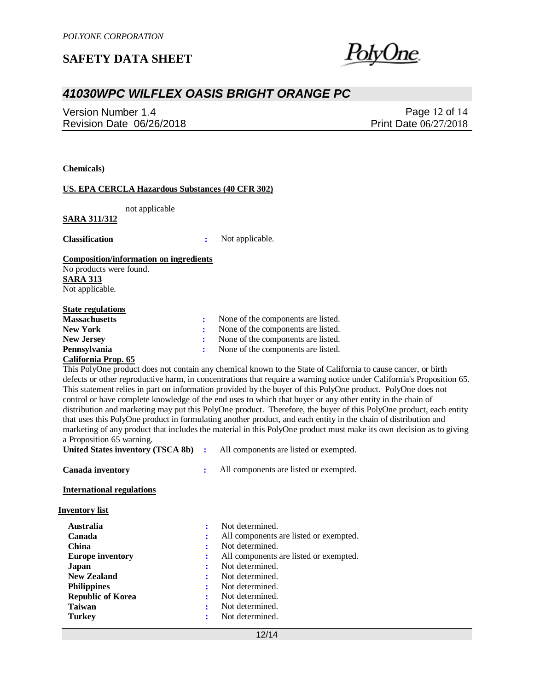### *41030WPC WILFLEX OASIS BRIGHT ORANGE PC*

Version Number 1.4 Revision Date 06/26/2018

Page 12 of 14 Print Date 06/27/2018

**Chemicals)**

#### **US. EPA CERCLA Hazardous Substances (40 CFR 302)**

not applicable

#### **SARA 311/312**

**Classification :** Not applicable.

#### **Composition/information on ingredients**

No products were found. **SARA 313** Not applicable.

#### **State regulations**

| <b>Massachusetts</b> | None of the components are listed. |  |
|----------------------|------------------------------------|--|
| <b>New York</b>      | None of the components are listed. |  |
| <b>New Jersey</b>    | None of the components are listed. |  |
| <b>Pennsylvania</b>  | None of the components are listed. |  |
|                      |                                    |  |

#### **California Prop. 65**

This PolyOne product does not contain any chemical known to the State of California to cause cancer, or birth defects or other reproductive harm, in concentrations that require a warning notice under California's Proposition 65. This statement relies in part on information provided by the buyer of this PolyOne product. PolyOne does not control or have complete knowledge of the end uses to which that buyer or any other entity in the chain of distribution and marketing may put this PolyOne product. Therefore, the buyer of this PolyOne product, each entity that uses this PolyOne product in formulating another product, and each entity in the chain of distribution and marketing of any product that includes the material in this PolyOne product must make its own decision as to giving a Proposition 65 warning.

|                  | United States inventory (TSCA 8b) : All components are listed or exempted. |
|------------------|----------------------------------------------------------------------------|
| Canada inventory | All components are listed or exempted.                                     |

#### **International regulations**

| Inventory list |  |
|----------------|--|
|                |  |

| <b>Australia</b>         | Not determined.                        |
|--------------------------|----------------------------------------|
| Canada                   | All components are listed or exempted. |
| China                    | Not determined.                        |
| <b>Europe inventory</b>  | All components are listed or exempted. |
| Japan                    | Not determined.                        |
| <b>New Zealand</b>       | Not determined.                        |
| <b>Philippines</b>       | Not determined.                        |
| <b>Republic of Korea</b> | Not determined.                        |
| <b>Taiwan</b>            | Not determined.                        |
| <b>Turkey</b>            | Not determined.                        |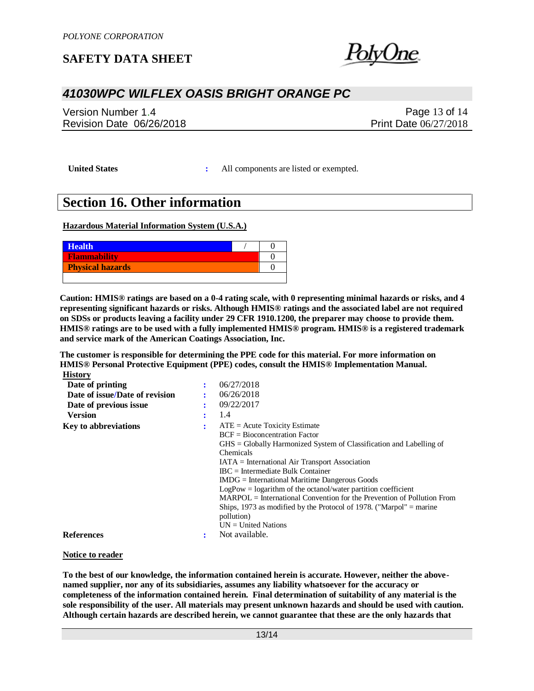### *41030WPC WILFLEX OASIS BRIGHT ORANGE PC*

Version Number 1.4 Revision Date 06/26/2018

Page 13 of 14 Print Date 06/27/2018

**United States :** All components are listed or exempted.

## **Section 16. Other information**

**Hazardous Material Information System (U.S.A.)**

| <b>Health</b>           |  |
|-------------------------|--|
| <b>Flammability</b>     |  |
| <b>Physical hazards</b> |  |
|                         |  |

**Caution: HMIS® ratings are based on a 0-4 rating scale, with 0 representing minimal hazards or risks, and 4 representing significant hazards or risks. Although HMIS® ratings and the associated label are not required on SDSs or products leaving a facility under 29 CFR 1910.1200, the preparer may choose to provide them. HMIS® ratings are to be used with a fully implemented HMIS® program. HMIS® is a registered trademark and service mark of the American Coatings Association, Inc.**

**The customer is responsible for determining the PPE code for this material. For more information on HMIS® Personal Protective Equipment (PPE) codes, consult the HMIS® Implementation Manual. History**

| Date of printing               | 06/27/2018                                                                          |
|--------------------------------|-------------------------------------------------------------------------------------|
| Date of issue/Date of revision | 06/26/2018                                                                          |
| Date of previous issue         | 09/22/2017                                                                          |
| <b>Version</b>                 | 1.4                                                                                 |
| <b>Key to abbreviations</b>    | $ATE = Acute Toxicity Estimate$                                                     |
|                                | $BCF = Bioconcentration Factor$                                                     |
|                                | $\text{GHS} = \text{Globally Harmonized System of Classification and Labelling of}$ |
|                                | <b>Chemicals</b>                                                                    |
|                                | $IATA = International Air Transport Association$                                    |
|                                | $\text{IRC}$ = Intermediate Bulk Container                                          |
|                                | $IMDG = International\,$ Maritime Dangerous Goods                                   |
|                                | $LogPow = logarithm$ of the octanol/water partition coefficient                     |
|                                | $MARPOL = International Convention for the Prevention of Pollution From$            |
|                                | Ships, 1973 as modified by the Protocol of 1978. ("Marpol" = marine                 |
|                                | pollution)                                                                          |
|                                | $UN = United Nations$                                                               |
| <b>References</b>              | Not available.                                                                      |

#### **Notice to reader**

**To the best of our knowledge, the information contained herein is accurate. However, neither the abovenamed supplier, nor any of its subsidiaries, assumes any liability whatsoever for the accuracy or completeness of the information contained herein. Final determination of suitability of any material is the sole responsibility of the user. All materials may present unknown hazards and should be used with caution. Although certain hazards are described herein, we cannot guarantee that these are the only hazards that**